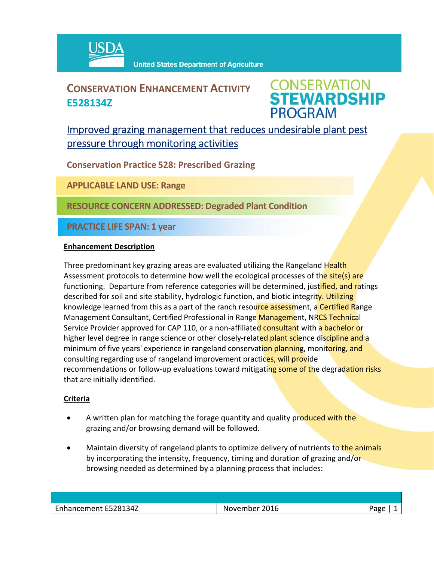

## **CONSERVATION ENHANCEMENT ACTIVITY E528134Z**



### Improved grazing management that reduces undesirable plant pest pressure through monitoring activities

**Conservation Practice 528: Prescribed Grazing**

**APPLICABLE LAND USE: Range**

**RESOURCE CONCERN ADDRESSED: Degraded Plant Condition**

**PRACTICE LIFE SPAN: 1 year**

#### **Enhancement Description**

Three predominant key grazing areas are evaluated utilizing the Rangeland Health Assessment protocols to determine how well the ecological processes of the site(s) are functioning. Departure from reference categories will be determined, justified, and ratings described for soil and site stability, hydrologic function, and biotic integrity. Utilizing knowledge learned from this as a part of the ranch resource assessment, a Certified Range Management Consultant, Certified Professional in Range Management, NRCS Technical Service Provider approved for CAP 110, or a non-affiliated consultant with a bachelor or higher level degree in range science or other closely-related plant science discipline and a minimum of five years' experience in rangeland conservation planning, monitoring, and consulting regarding use of rangeland improvement practices, will provide recommendations or follow-up evaluations toward mitigating some of the degradation risks that are initially identified.

#### **Criteria**

- A written plan for matching the forage quantity and quality produced with the grazing and/or browsing demand will be followed.
- Maintain diversity of rangeland plants to optimize delivery of nutrients to the animals by incorporating the intensity, frequency, timing and duration of grazing and/or browsing needed as determined by a planning process that includes:

| -5281347<br>$\sim$<br>2016<br>ا ما مر<br>3222<br>her<br>wem<br>IМ<br>ີ⊂<br>___ |  |  |
|--------------------------------------------------------------------------------|--|--|
|                                                                                |  |  |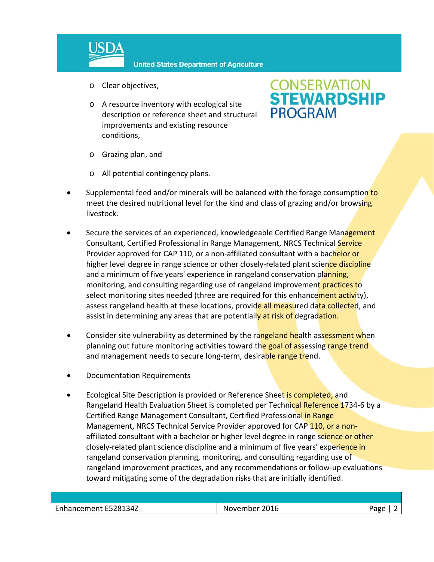

- o Clear objectives,
- o A resource inventory with ecological site description or reference sheet and structural improvements and existing resource conditions,

# **CONSERVATION<br>STEWARDSHIP PROGRAM**

- o Grazing plan, and
- o All potential contingency plans.
- Supplemental feed and/or minerals will be balanced with the forage consumption to meet the desired nutritional level for the kind and class of grazing and/or browsing livestock.
- Secure the services of an experienced, knowledgeable Certified Range Management Consultant, Certified Professional in Range Management, NRCS Technical Service Provider approved for CAP 110, or a non-affiliated consultant with a bachelor or higher level degree in range science or other closely-related plant science discipline and a minimum of five years' experience in rangeland conservation planning, monitoring, and consulting regarding use of rangeland improvement practices to select monitoring sites needed (three are required for this enhancement activity), assess rangeland health at these locations, provide all measured data collected, and assist in determining any areas that are potentially at risk of degradation.
- Consider site vulnerability as determined by the rangeland health assessment when planning out future monitoring activities toward the goal of assessing range trend and management needs to secure long-term, desirable range trend.
- Documentation Requirements
- Ecological Site Description is provided or Reference Sheet is completed, and Rangeland Health Evaluation Sheet is completed per Technical Reference 1734-6 by a Certified Range Management Consultant, Certified Professional in Range Management, NRCS Technical Service Provider approved for CAP 110, or a nonaffiliated consultant with a bachelor or higher level degree in range science or other closely-related plant science discipline and a minimum of five years' experience in rangeland conservation planning, monitoring, and consulting regarding use of rangeland improvement practices, and any recommendations or follow‐up evaluations toward mitigating some of the degradation risks that are initially identified.

| E528134Z<br>$\overline{\phantom{0}}$<br>$\sim$ $\sim$<br>.<br>14 L L L | 2016<br>ner<br>IN.<br>wem<br>___ | ∩סבי∵<br>. . |
|------------------------------------------------------------------------|----------------------------------|--------------|
|                                                                        |                                  |              |